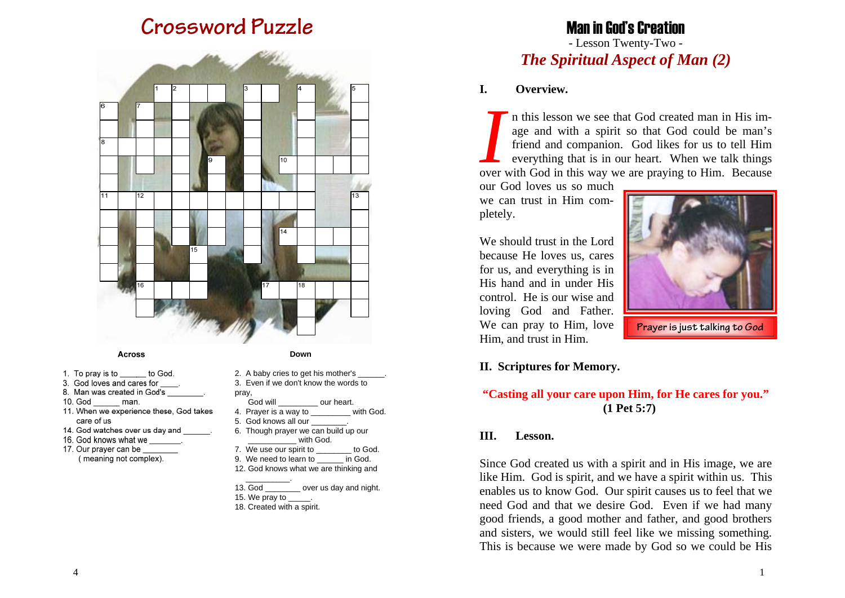# **Crossword Puzzle**



#### **Across**

- 1. To pray is to to God.
- 3. God loves and cares for
- 8. Man was created in God's
- 10. God man.
- 11. When we experience these, God takes care of us
- 14. God watches over us day and
- 16. God knows what we
- 17. Our prayer can be (meaning not complex).

|       | 2. A baby cries to get his mother's _______.<br>3. Even if we don't know the words to |
|-------|---------------------------------------------------------------------------------------|
| pray, |                                                                                       |
|       | God will our heart.                                                                   |
|       | 4. Prayer is a way to ________ with God.                                              |
|       | 5. God knows all our ________.                                                        |
|       | 6. Though prayer we can build up our                                                  |
|       | with God.                                                                             |
|       | 7. We use our spirit to ________ to God.                                              |
|       | 9. We need to learn to in God.                                                        |
|       | 12. God knows what we are thinking and                                                |
|       |                                                                                       |
|       | 13. God over us day and night.                                                        |
|       | 15. We pray to $\_\_\_\_\$ .                                                          |
|       | 18. Created with a spirit.                                                            |

 **Down**

### Man in God's Creation - Lesson Twenty-Two -

*The Spiritual Aspect of Man (2)*

#### **I. Overview.**

*I* n this lesson we see that God created man in His im- age and with a spirit so that God could be man's friend and companion. God likes for us to tell Him everything that is in our heart. When we talk things over with God in this way we are praying to Him. Because

our God loves us so much we can trust in Him completely.

We should trust in the Lord because He loves us, cares for us, and everything is in His hand and in under His control. He is our wise and loving God and Father. We can pray to Him, love Him, and trust in Him.



**Prayer is just talking to God** 

#### **II. Scriptures for Memory.**

#### **"Casting all your care upon Him, for He cares for you." (1 Pet 5:7)**

#### **III. Lesson.**

Since God created us with a spirit and in His image, we are like Him. God is spirit, and we have a spirit within us. This enables us to know God. Our spirit causes us to feel that we need God and that we desire God. Even if we had many good friends, a good mother and father, and good brothers and sisters, we would still feel like we missing something. This is because we were made by God so we could be His